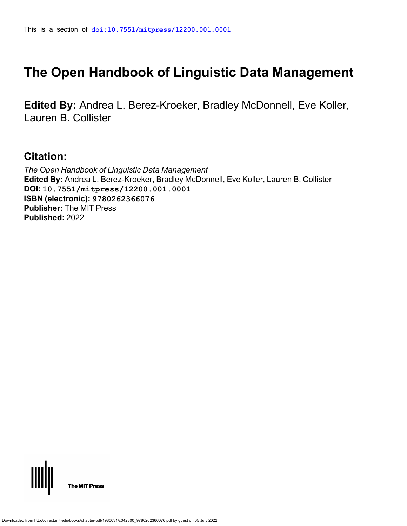# **The Open Handbook of Linguistic Data Management**

**Edited By:** Andrea L. Berez-Kroeker, Bradley McDonnell, Eve Koller, Lauren B. Collister

## **Citation:**

*The Open Handbook of Linguistic Data Management* **Edited By:** Andrea L. Berez-Kroeker, Bradley McDonnell, Eve Koller, Lauren B. Collister **DOI: 10.7551/mitpress/12200.001.0001 ISBN (electronic): 9780262366076 Publisher:** The MIT Press **Published:** 2022



**The MIT Press**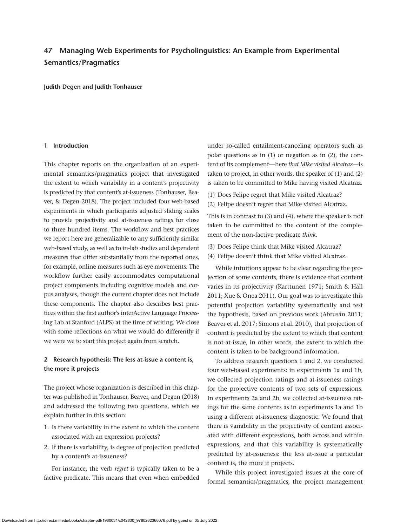### **47 Managing Web Experiments for Psycholinguistics: An Example from Experimental Semantics/Pragmatics**

**Judith Degen and Judith Tonhauser**

#### **1 Introduction**

This chapter reports on the organization of an experimental semantics/pragmatics project that investigated the extent to which variability in a content's projectivity is predicted by that content's at-issueness (Tonhauser, Beaver, & Degen 2018). The project included four web-based experiments in which participants adjusted sliding scales to provide projectivity and at-issueness ratings for close to three hundred items. The workflow and best practices we report here are generalizable to any sufficiently similar web-based study, as well as to in-lab studies and dependent measures that differ substantially from the reported ones, for example, online measures such as eye movements. The workflow further easily accommodates computational project components including cognitive models and corpus analyses, though the current chapter does not include these components. The chapter also describes best practices within the first author's interActive Language Processing Lab at Stanford (ALPS) at the time of writing. We close with some reflections on what we would do differently if we were we to start this project again from scratch.

### **2 Research hypothesis: The less at-issue a content is, the more it projects**

The project whose organization is described in this chapter was published in Tonhauser, Beaver, and Degen (2018) and addressed the following two questions, which we explain further in this section:

- 1. Is there variability in the extent to which the content associated with an expression projects?
- 2. If there is variability, is degree of projection predicted by a content's at-issueness?

For instance, the verb *regret* is typically taken to be a factive predicate. This means that even when embedded under so-called entailment-canceling operators such as polar questions as in (1) or negation as in (2), the content of its complement—here *that Mike visited Alcatraz*—is taken to project, in other words, the speaker of (1) and (2) is taken to be committed to Mike having visited Alcatraz.

- (1) Does Felipe regret that Mike visited Alcatraz?
- (2) Felipe doesn't regret that Mike visited Alcatraz.

This is in contrast to (3) and (4), where the speaker is not taken to be committed to the content of the complement of the non-factive predicate *think*.

- (3) Does Felipe think that Mike visited Alcatraz?
- (4) Felipe doesn't think that Mike visited Alcatraz.

While intuitions appear to be clear regarding the projection of some contents, there is evidence that content varies in its projectivity (Karttunen 1971; Smith & Hall 2011; Xue & Onea 2011). Our goal was to investigate this potential projection variability systematically and test the hypothesis, based on previous work (Abrusán 2011; Beaver et al. 2017; Simons et al. 2010), that projection of content is predicted by the extent to which that content is not-at-issue, in other words, the extent to which the content is taken to be background information.

To address research questions 1 and 2, we conducted four web-based experiments: in experiments 1a and 1b, we collected projection ratings and at-issueness ratings for the projective contents of two sets of expressions. In experiments 2a and 2b, we collected at-issueness ratings for the same contents as in experiments 1a and 1b using a different at-issueness diagnostic. We found that there is variability in the projectivity of content associated with different expressions, both across and within expressions, and that this variability is systematically predicted by at-issueness: the less at-issue a particular content is, the more it projects.

While this project investigated issues at the core of formal semantics/pragmatics, the project management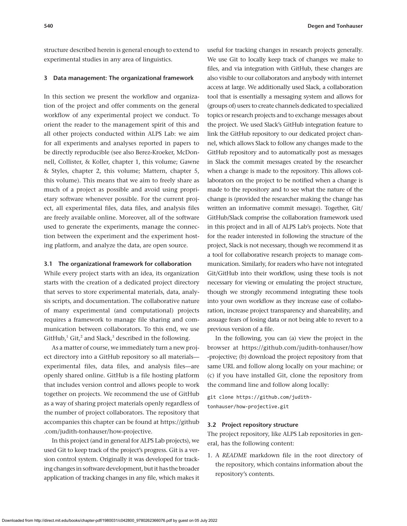structure described herein is general enough to extend to experimental studies in any area of linguistics.

#### **3 Data management: The organizational framework**

In this section we present the workflow and organization of the project and offer comments on the general workflow of any experimental project we conduct. To orient the reader to the management spirit of this and all other projects conducted within ALPS Lab: we aim for all experiments and analyses reported in papers to be directly reproducible (see also Berez-Kroeker, McDonnell, Collister, & Koller, chapter 1, this volume; Gawne & Styles, chapter 2, this volume; Mattern, chapter 5, this volume). This means that we aim to freely share as much of a project as possible and avoid using proprietary software whenever possible. For the current project, all experimental files, data files, and analysis files are freely available online. Moreover, all of the software used to generate the experiments, manage the connection between the experiment and the experiment hosting platform, and analyze the data, are open source.

#### **3.1 The organizational framework for collaboration**

While every project starts with an idea, its organization starts with the creation of a dedicated project directory that serves to store experimental materials, data, analysis scripts, and documentation. The collaborative nature of many experimental (and computational) projects requires a framework to manage file sharing and communication between collaborators. To this end, we use GitHub,<sup>1</sup> Git,<sup>2</sup> and Slack,<sup>3</sup> described in the following.

As a matter of course, we immediately turn a new project directory into a GitHub repository so all materials experimental files, data files, and analysis files—are openly shared online. GitHub is a file hosting platform that includes version control and allows people to work together on projects. We recommend the use of GitHub as a way of sharing project materials openly regardless of the number of project collaborators. The repository that accompanies this chapter can be found at [https://github](https://github.com/judith-tonhauser/how-projective) [.com/judith-tonhauser/how-projective](https://github.com/judith-tonhauser/how-projective).

In this project (and in general for ALPS Lab projects), we used Git to keep track of the project's progress. Git is a version control system. Originally it was developed for tracking changes in software development, but it has the broader application of tracking changes in any file, which makes it

useful for tracking changes in research projects generally. We use Git to locally keep track of changes we make to files, and via integration with GitHub, these changes are also visible to our collaborators and anybody with internet access at large. We additionally used Slack, a collaboration tool that is essentially a messaging system and allows for (groups of) users to create channels dedicated to specialized topics or research projects and to exchange messages about the project. We used Slack's GitHub integration feature to link the GitHub repository to our dedicated project channel, which allows Slack to follow any changes made to the GitHub repository and to automatically post as messages in Slack the commit messages created by the researcher when a change is made to the repository. This allows collaborators on the project to be notified when a change is made to the repository and to see what the nature of the change is (provided the researcher making the change has written an informative commit message). Together, Git/ GitHub/Slack comprise the collaboration framework used in this project and in all of ALPS Lab's projects. Note that for the reader interested in following the structure of the project, Slack is not necessary, though we recommend it as a tool for collaborative research projects to manage communication. Similarly, for readers who have not integrated Git/GitHub into their workflow, using these tools is not necessary for viewing or emulating the project structure, though we strongly recommend integrating these tools into your own workflow as they increase ease of collaboration, increase project transparency and shareability, and assuage fears of losing data or not being able to revert to a previous version of a file.

In the following, you can (a) view the project in the browser at [https://github.com/judith-tonhauser/how](https://github.com/judith-tonhauser/how-projective) [-projective;](https://github.com/judith-tonhauser/how-projective) (b) download the project repository from that same URL and follow along locally on your machine; or (c) if you have installed Git, clone the repository from the command line and follow along locally:

git clone [https://github.com/judith](https://github.com/judith-tonhauser/how-projective.git)[tonhauser/how-projective.git](https://github.com/judith-tonhauser/how-projective.git)

#### **3.2 Project repository structure**

The project repository, like ALPS Lab repositories in general, has the following content:

1. A *README* markdown file in the root directory of the repository, which contains information about the repository's contents.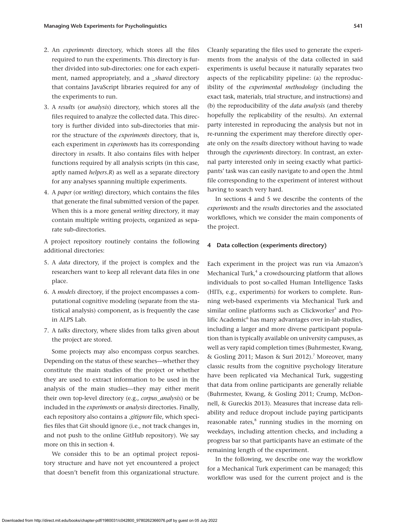- 2. An *experiments* directory, which stores all the files required to run the experiments. This directory is further divided into sub-directories: one for each experiment, named appropriately, and a *\_shared* directory that contains JavaScript libraries required for any of the experiments to run.
- 3. A *results* (or *analysis*) directory, which stores all the files required to analyze the collected data. This directory is further divided into sub-directories that mirror the structure of the *experiments* directory, that is, each experiment in *experiments* has its corresponding directory in *results*. It also contains files with helper functions required by all analysis scripts (in this case, aptly named *helpers.R*) as well as a separate directory for any analyses spanning multiple experiments.
- 4. A *paper* (or *writing*) directory, which contains the files that generate the final submitted version of the paper. When this is a more general *writing* directory, it may contain multiple writing projects, organized as separate sub-directories.

A project repository routinely contains the following additional directories:

- 5. A *data* directory, if the project is complex and the researchers want to keep all relevant data files in one place.
- 6. A *models* directory, if the project encompasses a computational cognitive modeling (separate from the statistical analysis) component, as is frequently the case in ALPS Lab.
- 7. A *talks* directory, where slides from talks given about the project are stored.

Some projects may also encompass corpus searches. Depending on the status of these searches—whether they constitute the main studies of the project or whether they are used to extract information to be used in the analysis of the main studies—they may either merit their own top-level directory (e.g., *corpus\_analysis*) or be included in the *experiments* or *analysis* directories. Finally, each repository also contains a *.gitignore* file, which specifies files that Git should ignore (i.e., not track changes in, and not push to the online GitHub repository). We say more on this in section 4.

We consider this to be an optimal project repository structure and have not yet encountered a project that doesn't benefit from this organizational structure.

Cleanly separating the files used to generate the experiments from the analysis of the data collected in said experiments is useful because it naturally separates two aspects of the replicability pipeline: (a) the reproducibility of the *experimental methodology* (including the exact task, materials, trial structure, and instructions) and (b) the reproducibility of the *data analysis* (and thereby hopefully the replicability of the results). An external party interested in reproducing the analysis but not in re-running the experiment may therefore directly operate only on the *results* directory without having to wade through the *experiments* directory. In contrast, an external party interested only in seeing exactly what participants' task was can easily navigate to and open the .html file corresponding to the experiment of interest without having to search very hard.

In sections 4 and 5 we describe the contents of the *experiments* and the *results* directories and the associated workflows, which we consider the main components of the project.

#### **4 Data collection (experiments directory)**

Each experiment in the project was run via Amazon's Mechanical Turk,<sup>4</sup> a crowdsourcing platform that allows individuals to post so-called Human Intelligence Tasks (HITs, e.g., experiments) for workers to complete. Running web-based experiments via Mechanical Turk and similar online platforms such as Clickworker<sup>5</sup> and Prolific Academic<sup>6</sup> has many advantages over in-lab studies, including a larger and more diverse participant population than is typically available on university campuses, as well as very rapid completion times (Buhrmester, Kwang, & Gosling 2011; Mason & Suri 2012).<sup>7</sup> Moreover, many classic results from the cognitive psychology literature have been replicated via Mechanical Turk, suggesting that data from online participants are generally reliable (Buhrmester, Kwang, & Gosling 2011; Crump, McDonnell, & Gureckis 2013). Measures that increase data reliability and reduce dropout include paying participants reasonable rates,<sup>8</sup> running studies in the morning on weekdays, including attention checks, and including a progress bar so that participants have an estimate of the remaining length of the experiment.

In the following, we describe one way the workflow for a Mechanical Turk experiment can be managed; this workflow was used for the current project and is the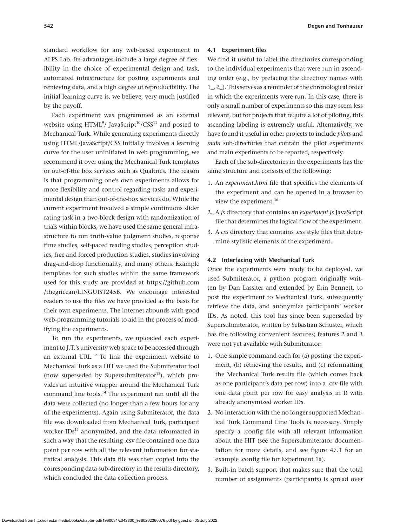standard workflow for any web-based experiment in ALPS Lab. Its advantages include a large degree of flexibility in the choice of experimental design and task, automated infrastructure for posting experiments and retrieving data, and a high degree of reproducibility. The initial learning curve is, we believe, very much justified by the payoff.

Each experiment was programmed as an external website using  $HTML^9/$  JavaScript<sup>10</sup>/CSS<sup>11</sup> and posted to Mechanical Turk. While generating experiments directly using HTML/JavaScript/CSS initially involves a learning curve for the user uninitiated in web programming, we recommend it over using the Mechanical Turk templates or out-of-the box services such as Qualtrics. The reason is that programming one's own experiments allows for more flexibility and control regarding tasks and experimental design than out-of-the-box services do. While the current experiment involved a simple continuous slider rating task in a two-block design with randomization of trials within blocks, we have used the same general infrastructure to run truth-value judgment studies, response time studies, self-paced reading studies, perception studies, free and forced production studies, studies involving drag-and-drop functionality, and many others. Example templates for such studies within the same framework used for this study are provided at [https://github.com](https://github.com/thegricean/LINGUIST245B) [/thegricean/LINGUIST245B.](https://github.com/thegricean/LINGUIST245B) We encourage interested readers to use the files we have provided as the basis for their own experiments. The internet abounds with good web-programming tutorials to aid in the process of modifying the experiments.

To run the experiments, we uploaded each experiment to J.T.'s university web space to be accessed through an external URL. $^{12}$  To link the experiment website to Mechanical Turk as a HIT we used the Submiterator tool (now superseded by Supersubmiterator $^{13}$ ), which provides an intuitive wrapper around the Mechanical Turk command line tools.14 The experiment ran until all the data were collected (no longer than a few hours for any of the experiments). Again using Submiterator, the data file was downloaded from Mechanical Turk, participant worker IDs<sup>15</sup> anonymized, and the data reformatted in such a way that the resulting .csv file contained one data point per row with all the relevant information for statistical analysis. This data file was then copied into the corresponding data sub-directory in the results directory, which concluded the data collection process.

#### **4.1 Experiment files**

We find it useful to label the directories corresponding to the individual experiments that were run in ascending order (e.g., by prefacing the directory names with 1\_, 2\_). This serves as a reminder of the chronological order in which the experiments were run. In this case, there is only a small number of experiments so this may seem less relevant, but for projects that require a lot of piloting, this ascending labeling is extremely useful. Alternatively, we have found it useful in other projects to include *pilots* and *main* sub-directories that contain the pilot experiments and main experiments to be reported, respectively.

Each of the sub-directories in the experiments has the same structure and consists of the following:

- 1. An *experiment.html* file that specifies the elements of the experiment and can be opened in a browser to view the experiment.<sup>16</sup>
- 2. A *js* directory that contains an *experiment.js* JavaScript file that determines the logical flow of the experiment.
- 3. A *css* directory that contains .css style files that determine stylistic elements of the experiment.

#### **4.2 Interfacing with Mechanical Turk**

Once the experiments were ready to be deployed, we used Submiterator, a python program originally written by Dan Lassiter and extended by Erin Bennett, to post the experiment to Mechanical Turk, subsequently retrieve the data, and anonymize participants' worker IDs. As noted, this tool has since been superseded by Supersubmiterator, written by Sebastian Schuster, which has the following convenient features; features 2 and 3 were not yet available with Submiterator:

- 1. One simple command each for (a) posting the experiment, (b) retrieving the results, and (c) reformatting the Mechanical Turk results file (which comes back as one participant's data per row) into a .csv file with one data point per row for easy analysis in R with already anonymized worker IDs.
- 2. No interaction with the no longer supported Mechanical Turk Command Line Tools is necessary. Simply specify a .config file with all relevant information about the HIT (see the Supersubmiterator documentation for more details, and see figure 47.1 for an example .config file for Experiment 1a).
- 3. Built-in batch support that makes sure that the total number of assignments (participants) is spread over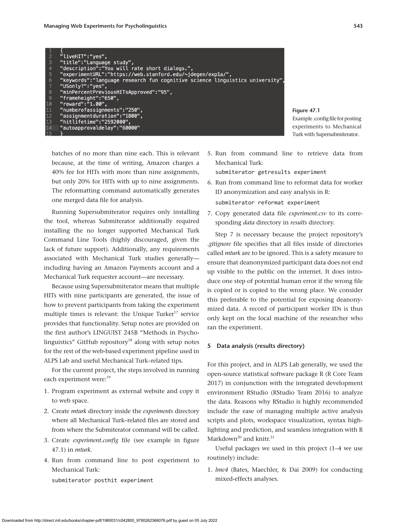

batches of no more than nine each. This is relevant because, at the time of writing, Amazon charges a 40% fee for HITs with more than nine assignments, but only 20% for HITs with up to nine assignments. The reformatting command automatically generates one merged data file for analysis.

Running Supersubmiterator requires only installing the tool, whereas Submiterator additionally required installing the no longer supported Mechanical Turk Command Line Tools (highly discouraged, given the lack of future support). Additionally, any requirements associated with Mechanical Turk studies generally including having an Amazon Payments account and a Mechanical Turk requester account—are necessary.

Because using Supersubmiterator means that multiple HITs with nine participants are generated, the issue of how to prevent participants from taking the experiment multiple times is relevant: the Unique Turker $17$  service provides that functionality. Setup notes are provided on the first author's LINGUIST 245B "Methods in Psycholinguistics" GitHub repository $18$  along with setup notes for the rest of the web-based experiment pipeline used in ALPS Lab and useful Mechanical Turk–related tips.

For the current project, the steps involved in running each experiment were:<sup>19</sup>

- 1. Program experiment as external website and copy it to web space.
- 2. Create *mturk* directory inside the *experiments* directory where all Mechanical Turk–related files are stored and from where the Submiterator command will be called.
- 3. Create *experiment.config* file (see example in figure 47.1) in *mturk*.
- 4. Run from command line to post experiment to Mechanical Turk:

submiterator posthit experiment

- 5. Run from command line to retrieve data from Mechanical Turk:
	- submiterator getresults experiment
- 6. Run from command line to reformat data for worker ID anonymization and easy analysis in R: submiterator reformat experiment
- 7. Copy generated data file *experiment.csv* to its corresponding *data* directory in *results* directory.

Step 7 is necessary because the project repository's *.gitignore* file specifies that all files inside of directories called *mturk* are to be ignored. This is a safety measure to ensure that deanonymized participant data does not end up visible to the public on the internet. It does introduce one step of potential human error if the wrong file is copied or is copied to the wrong place. We consider this preferable to the potential for exposing deanonymized data. A record of participant worker IDs is thus only kept on the local machine of the researcher who ran the experiment.

#### **5 Data analysis (results directory)**

For this project, and in ALPS Lab generally, we used the open-source statistical software package R (R Core Team 2017) in conjunction with the integrated development environment RStudio (RStudio Team 2016) to analyze the data. Reasons why RStudio is highly recommended include the ease of managing multiple active analysis scripts and plots, workspace visualization, syntax highlighting and prediction, and seamless integration with R Markdown<sup>20</sup> and knitr.<sup>21</sup>

Useful packages we used in this project (1–4 we use routinely) include:

1. *lme4* (Bates, Maechler, & Dai 2009) for conducting mixed-effects analyses.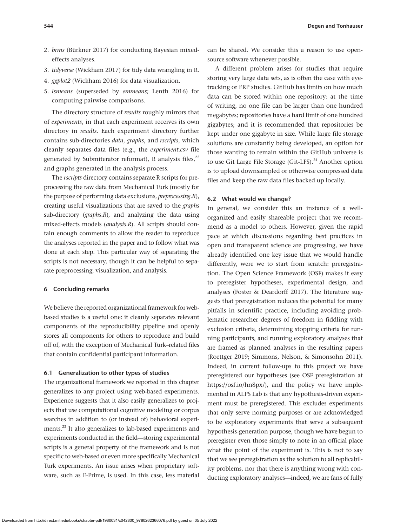- 2. *brms* (Bürkner 2017) for conducting Bayesian mixedeffects analyses.
- 3. *tidyverse* (Wickham 2017) for tidy data wrangling in R.
- 4. *ggplot2* (Wickham 2016) for data visualization.
- 5. *lsmeans* (superseded by *emmeans*; Lenth 2016) for computing pairwise comparisons.

The directory structure of *results* roughly mirrors that of *experiments*, in that each experiment receives its own directory in *results*. Each experiment directory further contains sub-directories *data*, *graphs*, and *rscripts*, which cleanly separates data files (e.g., the *experiment.csv* file generated by Submiterator reformat), R analysis files, $^{22}$ and graphs generated in the analysis process.

The *rscripts* directory contains separate R scripts for preprocessing the raw data from Mechanical Turk (mostly for the purpose of performing data exclusions, *preprocessing.R*), creating useful visualizations that are saved to the *graphs* sub-directory (*graphs.R*), and analyzing the data using mixed-effects models (*analysis.R*). All scripts should contain enough comments to allow the reader to reproduce the analyses reported in the paper and to follow what was done at each step. This particular way of separating the scripts is not necessary, though it can be helpful to separate preprocessing, visualization, and analysis.

#### **6 Concluding remarks**

We believe the reported organizational framework for webbased studies is a useful one: it cleanly separates relevant components of the reproducibility pipeline and openly stores all components for others to reproduce and build off of, with the exception of Mechanical Turk–related files that contain confidential participant information.

#### **6.1 Generalization to other types of studies**

The organizational framework we reported in this chapter generalizes to any project using web-based experiments. Experience suggests that it also easily generalizes to projects that use computational cognitive modeling or corpus searches in addition to (or instead of) behavioral experiments.23 It also generalizes to lab-based experiments and experiments conducted in the field—storing experimental scripts is a general property of the framework and is not specific to web-based or even more specifically Mechanical Turk experiments. An issue arises when proprietary software, such as E-Prime, is used. In this case, less material

can be shared. We consider this a reason to use opensource software whenever possible.

A different problem arises for studies that require storing very large data sets, as is often the case with eyetracking or ERP studies. GitHub has limits on how much data can be stored within one repository: at the time of writing, no one file can be larger than one hundred megabytes; repositories have a hard limit of one hundred gigabytes; and it is recommended that repositories be kept under one gigabyte in size. While large file storage solutions are constantly being developed, an option for those wanting to remain within the GitHub universe is to use Git Large File Storage (Git-LFS).<sup>24</sup> Another option is to upload downsampled or otherwise compressed data files and keep the raw data files backed up locally.

#### **6.2 What would we change?**

In general, we consider this an instance of a wellorganized and easily shareable project that we recommend as a model to others. However, given the rapid pace at which discussions regarding best practices in open and transparent science are progressing, we have already identified one key issue that we would handle differently, were we to start from scratch: preregistration. The Open Science Framework (OSF) makes it easy to preregister hypotheses, experimental design, and analyses (Foster & Deardorff 2017). The literature suggests that preregistration reduces the potential for many pitfalls in scientific practice, including avoiding problematic researcher degrees of freedom in fiddling with exclusion criteria, determining stopping criteria for running participants, and running exploratory analyses that are framed as planned analyses in the resulting papers (Roettger 2019; Simmons, Nelson, & Simonsohn 2011). Indeed, in current follow-ups to this project we have preregistered our hypotheses (see OSF preregistration at <https://osf.io/hn8px/>), and the policy we have implemented in ALPS Lab is that any hypothesis-driven experiment must be preregistered. This excludes experiments that only serve norming purposes or are acknowledged to be exploratory experiments that serve a subsequent hypothesis-generation purpose, though we have begun to preregister even those simply to note in an official place what the point of the experiment is. This is not to say that we see preregistration as the solution to all replicability problems, nor that there is anything wrong with conducting exploratory analyses—indeed, we are fans of fully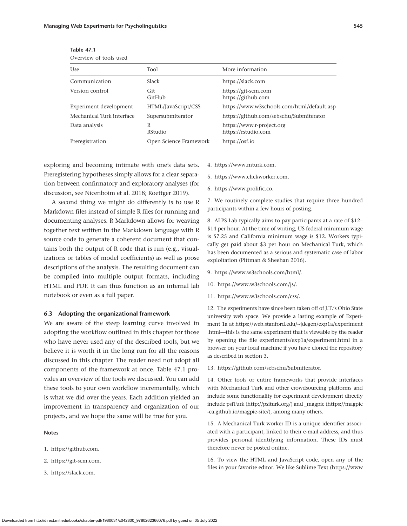| Use                       | Tool                   | More information                                 |
|---------------------------|------------------------|--------------------------------------------------|
| Communication             | Slack                  | https://slack.com                                |
| Version control           | Git<br>GitHub          | https://git-scm.com<br>https://github.com        |
| Experiment development    | HTML/JavaScript/CSS    | https://www.w3schools.com/html/default.asp       |
| Mechanical Turk interface | Supersubmiterator      | https://github.com/sebschu/Submiterator          |
| Data analysis             | R<br>RStudio           | https://www.r-project.org<br>https://rstudio.com |
| Preregistration           | Open Science Framework | https://osf.io                                   |

| <b>Table 47.1</b>      |
|------------------------|
| Overview of tools used |

exploring and becoming intimate with one's data sets. Preregistering hypotheses simply allows for a clear separation between confirmatory and exploratory analyses (for discussion, see Nicenboim et al. 2018; Roettger 2019).

A second thing we might do differently is to use R Markdown files instead of simple R files for running and documenting analyses. R Markdown allows for weaving together text written in the Markdown language with R source code to generate a coherent document that contains both the output of R code that is run (e.g., visualizations or tables of model coefficients) as well as prose descriptions of the analysis. The resulting document can be compiled into multiple output formats, including HTML and PDF. It can thus function as an internal lab notebook or even as a full paper.

#### **6.3 Adopting the organizational framework**

We are aware of the steep learning curve involved in adopting the workflow outlined in this chapter for those who have never used any of the described tools, but we believe it is worth it in the long run for all the reasons discussed in this chapter. The reader need not adopt all components of the framework at once. Table 47.1 provides an overview of the tools we discussed. You can add these tools to your own workflow incrementally, which is what we did over the years. Each addition yielded an improvement in transparency and organization of our projects, and we hope the same will be true for you.

#### **Notes**

- 1. <https://github.com>.
- 2. [https://git-scm.com.](https://git-scm.com)
- 3. [https://slack.com.](https://slack.com)

4. <https://www.mturk.com>.

- 5. [https://www.clickworker.com.](https://www.clickworker.com)
- 6. <https://www.prolific.co>.

7. We routinely complete studies that require three hundred participants within a few hours of posting.

8. ALPS Lab typically aims to pay participants at a rate of \$12– \$14 per hour. At the time of writing, US federal minimum wage is \$7.25 and California minimum wage is \$12. Workers typically get paid about \$3 per hour on Mechanical Turk, which has been documented as a serious and systematic case of labor exploitation (Pittman & Sheehan 2016).

- 9. <https://www.w3schools.com/html/>.
- 10. <https://www.w3schools.com/js/>.
- 11. [https://www.w3schools.com/css/.](https://www.w3schools.com/css/)

12. The experiments have since been taken off of J.T.'s Ohio State university web space. We provide a lasting example of Experiment 1a at [https://web.stanford.edu/~jdegen/exp1a/experiment](https://web.stanford.edu/~jdegen/exp1a/experiment.html—this) [.html—this](https://web.stanford.edu/~jdegen/exp1a/experiment.html—this) is the same experiment that is viewable by the reader by opening the file experiments/exp1a/experiment.html in a browser on your local machine if you have cloned the repository as described in section 3.

13. [https://github.com/sebschu/Submiterator.](https://github.com/sebschu/Submiterator)

14. Other tools or entire frameworks that provide interfaces with Mechanical Turk and other crowdsourcing platforms and include some functionality for experiment development directly include psiTurk [\(http://psiturk.org/\)](http://psiturk.org/) and \_magpie ([https://magpie](https://magpie-ea.github.io/magpie-site/) [-ea.github.io/magpie-site/](https://magpie-ea.github.io/magpie-site/)), among many others.

15. A Mechanical Turk worker ID is a unique identifier associated with a participant, linked to their e-mail address, and thus provides personal identifying information. These IDs must therefore never be posted online.

16. To view the HTML and JavaScript code, open any of the files in your favorite editor. We like Sublime Text [\(https://www](https://www.sublimetext.com)